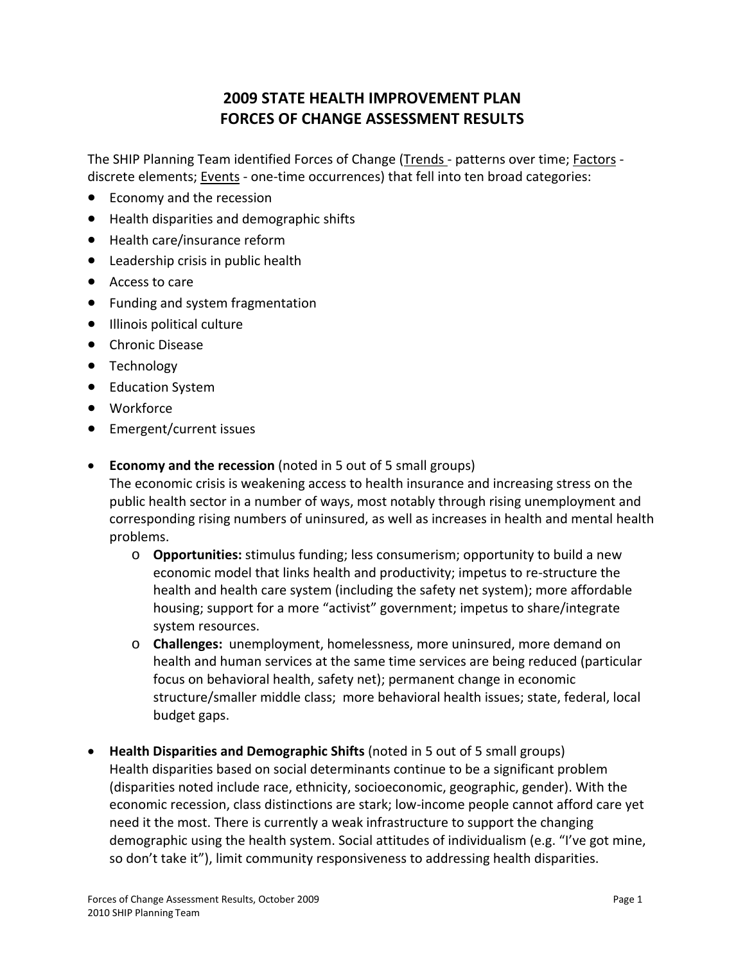## **2009 STATE HEALTH IMPROVEMENT PLAN FORCES OF CHANGE ASSESSMENT RESULTS**

The SHIP Planning Team identified Forces of Change (Trends - patterns over time; Factors discrete elements; **Events** - one-time occurrences) that fell into ten broad categories:

- Economy and the recession
- Health disparities and demographic shifts
- Health care/insurance reform
- Leadership crisis in public health
- Access to care
- Funding and system fragmentation
- Illinois political culture
- Chronic Disease
- Technology
- Education System
- Workforce
- Emergent/current issues
- **Economy and the recession** (noted in 5 out of 5 small groups)

The economic crisis is weakening access to health insurance and increasing stress on the public health sector in a number of ways, most notably through rising unemployment and corresponding rising numbers of uninsured, as well as increases in health and mental health problems.

- o **Opportunities:** stimulus funding; less consumerism; opportunity to build a new economic model that links health and productivity; impetus to re‐structure the health and health care system (including the safety net system); more affordable housing; support for a more "activist" government; impetus to share/integrate system resources.
- o **Challenges:** unemployment, homelessness, more uninsured, more demand on health and human services at the same time services are being reduced (particular focus on behavioral health, safety net); permanent change in economic structure/smaller middle class; more behavioral health issues; state, federal, local budget gaps.
- **Health Disparities and Demographic Shifts** (noted in 5 out of 5 small groups) Health disparities based on social determinants continue to be a significant problem (disparities noted include race, ethnicity, socioeconomic, geographic, gender). With the economic recession, class distinctions are stark; low‐income people cannot afford care yet need it the most. There is currently a weak infrastructure to support the changing demographic using the health system. Social attitudes of individualism (e.g. "I've got mine, so don't take it"), limit community responsiveness to addressing health disparities.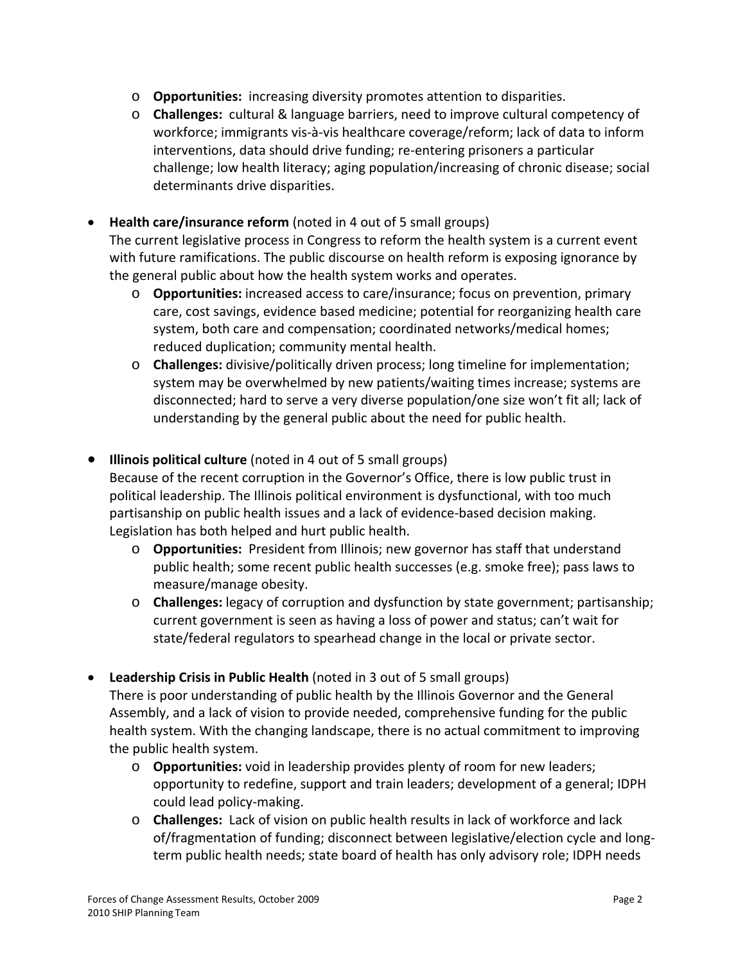- o **Opportunities:** increasing diversity promotes attention to disparities.
- o **Challenges:** cultural & language barriers, need to improve cultural competency of workforce; immigrants vis‐à‐vis healthcare coverage/reform; lack of data to inform interventions, data should drive funding; re‐entering prisoners a particular challenge; low health literacy; aging population/increasing of chronic disease; social determinants drive disparities.
- **Health care/insurance reform** (noted in 4 out of 5 small groups) The current legislative process in Congress to reform the health system is a current event with future ramifications. The public discourse on health reform is exposing ignorance by the general public about how the health system works and operates.
	- o **Opportunities:** increased access to care/insurance; focus on prevention, primary care, cost savings, evidence based medicine; potential for reorganizing health care system, both care and compensation; coordinated networks/medical homes; reduced duplication; community mental health.
	- o **Challenges:** divisive/politically driven process; long timeline for implementation; system may be overwhelmed by new patients/waiting times increase; systems are disconnected; hard to serve a very diverse population/one size won't fit all; lack of understanding by the general public about the need for public health.
- **Illinois political culture** (noted in 4 out of 5 small groups)

Because of the recent corruption in the Governor's Office, there is low public trust in political leadership. The Illinois political environment is dysfunctional, with too much partisanship on public health issues and a lack of evidence‐based decision making. Legislation has both helped and hurt public health.

- o **Opportunities:** President from Illinois; new governor has staff that understand public health; some recent public health successes (e.g. smoke free); pass laws to measure/manage obesity.
- o **Challenges:** legacy of corruption and dysfunction by state government; partisanship; current government is seen as having a loss of power and status; can't wait for state/federal regulators to spearhead change in the local or private sector.
- **Leadership Crisis in Public Health** (noted in 3 out of 5 small groups) There is poor understanding of public health by the Illinois Governor and the General Assembly, and a lack of vision to provide needed, comprehensive funding for the public health system. With the changing landscape, there is no actual commitment to improving the public health system.
	- o **Opportunities:** void in leadership provides plenty of room for new leaders; opportunity to redefine, support and train leaders; development of a general; IDPH could lead policy‐making.
	- o **Challenges:** Lack of vision on public health results in lack of workforce and lack of/fragmentation of funding; disconnect between legislative/election cycle and long‐ term public health needs; state board of health has only advisory role; IDPH needs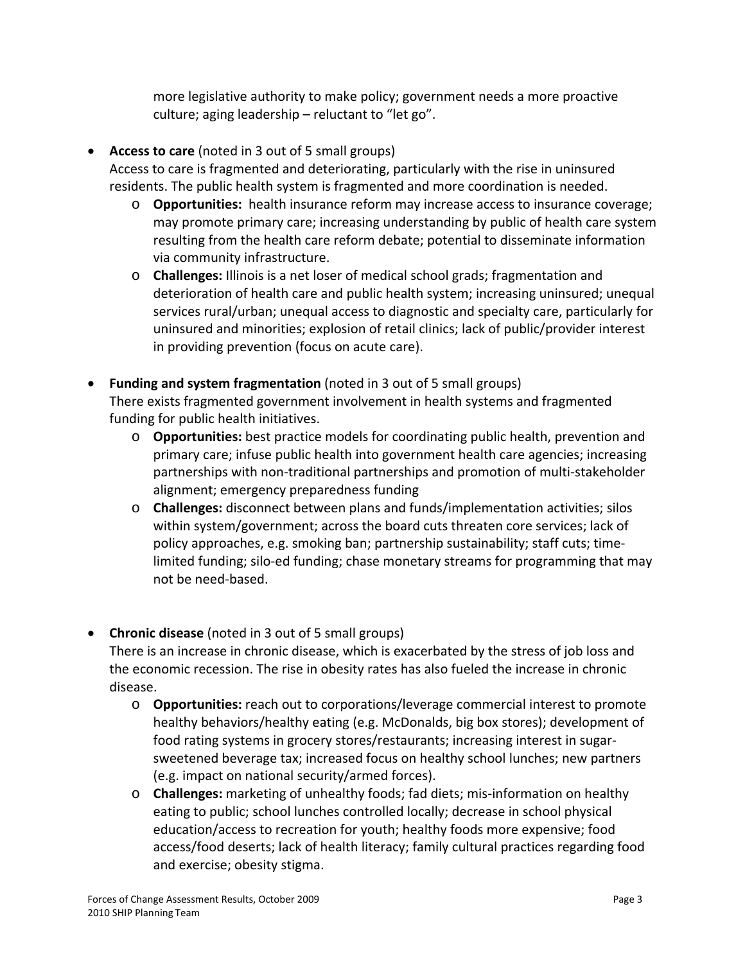more legislative authority to make policy; government needs a more proactive culture; aging leadership – reluctant to "let go".

- **Access to care** (noted in 3 out of 5 small groups)
	- Access to care is fragmented and deteriorating, particularly with the rise in uninsured residents. The public health system is fragmented and more coordination is needed.
		- o **Opportunities:** health insurance reform may increase access to insurance coverage; may promote primary care; increasing understanding by public of health care system resulting from the health care reform debate; potential to disseminate information via community infrastructure.
		- o **Challenges:** Illinois is a net loser of medical school grads; fragmentation and deterioration of health care and public health system; increasing uninsured; unequal services rural/urban; unequal access to diagnostic and specialty care, particularly for uninsured and minorities; explosion of retail clinics; lack of public/provider interest in providing prevention (focus on acute care).
- **Funding and system fragmentation** (noted in 3 out of 5 small groups) There exists fragmented government involvement in health systems and fragmented funding for public health initiatives.
	- o **Opportunities:** best practice models for coordinating public health, prevention and primary care; infuse public health into government health care agencies; increasing partnerships with non‐traditional partnerships and promotion of multi‐stakeholder alignment; emergency preparedness funding
	- o **Challenges:** disconnect between plans and funds/implementation activities; silos within system/government; across the board cuts threaten core services; lack of policy approaches, e.g. smoking ban; partnership sustainability; staff cuts; time‐ limited funding; silo‐ed funding; chase monetary streams for programming that may not be need‐based.
- **Chronic disease** (noted in 3 out of 5 small groups)

There is an increase in chronic disease, which is exacerbated by the stress of job loss and the economic recession. The rise in obesity rates has also fueled the increase in chronic disease.

- o **Opportunities:** reach out to corporations/leverage commercial interest to promote healthy behaviors/healthy eating (e.g. McDonalds, big box stores); development of food rating systems in grocery stores/restaurants; increasing interest in sugar‐ sweetened beverage tax; increased focus on healthy school lunches; new partners (e.g. impact on national security/armed forces).
- o **Challenges:** marketing of unhealthy foods; fad diets; mis‐information on healthy eating to public; school lunches controlled locally; decrease in school physical education/access to recreation for youth; healthy foods more expensive; food access/food deserts; lack of health literacy; family cultural practices regarding food and exercise; obesity stigma.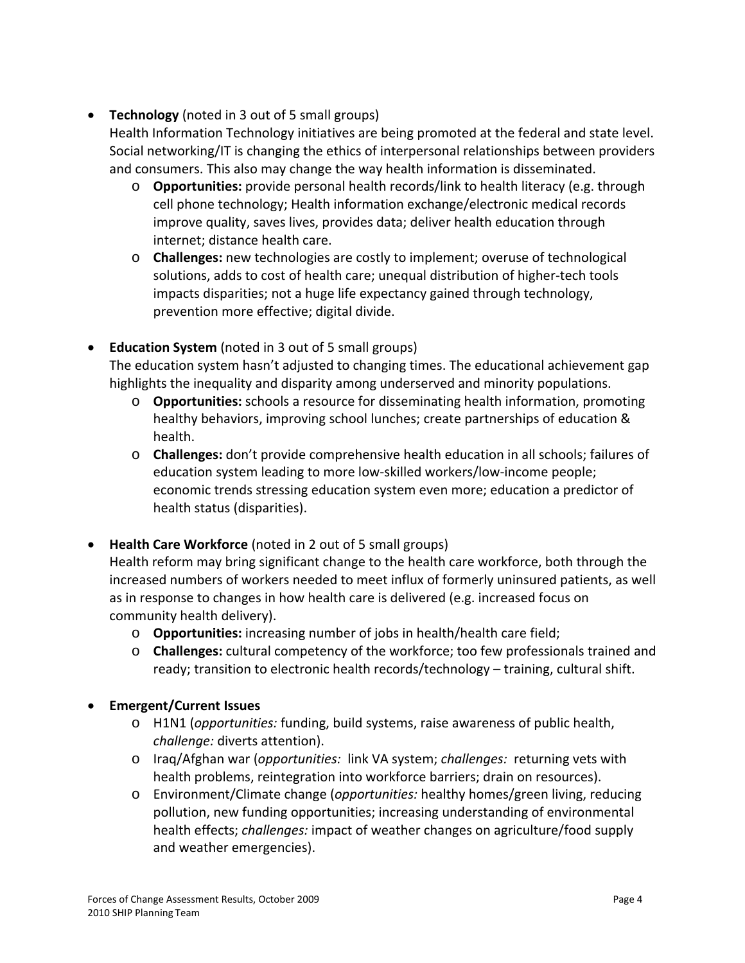**Technology** (noted in 3 out of 5 small groups)

Health Information Technology initiatives are being promoted at the federal and state level. Social networking/IT is changing the ethics of interpersonal relationships between providers and consumers. This also may change the way health information is disseminated.

- o **Opportunities:** provide personal health records/link to health literacy (e.g. through cell phone technology; Health information exchange/electronic medical records improve quality, saves lives, provides data; deliver health education through internet; distance health care.
- o **Challenges:** new technologies are costly to implement; overuse of technological solutions, adds to cost of health care; unequal distribution of higher‐tech tools impacts disparities; not a huge life expectancy gained through technology, prevention more effective; digital divide.
- **Education System** (noted in 3 out of 5 small groups)

The education system hasn't adjusted to changing times. The educational achievement gap highlights the inequality and disparity among underserved and minority populations.

- o **Opportunities:** schools a resource for disseminating health information, promoting healthy behaviors, improving school lunches; create partnerships of education & health.
- o **Challenges:** don't provide comprehensive health education in all schools; failures of education system leading to more low‐skilled workers/low‐income people; economic trends stressing education system even more; education a predictor of health status (disparities).
- **Health Care Workforce** (noted in 2 out of 5 small groups)

Health reform may bring significant change to the health care workforce, both through the increased numbers of workers needed to meet influx of formerly uninsured patients, as well as in response to changes in how health care is delivered (e.g. increased focus on community health delivery).

- o **Opportunities:** increasing number of jobs in health/health care field;
- o **Challenges:** cultural competency of the workforce; too few professionals trained and ready; transition to electronic health records/technology – training, cultural shift.
- **Emergent/Current Issues**
	- o H1N1 (*opportunities:* funding, build systems, raise awareness of public health, *challenge:* diverts attention).
	- o Iraq/Afghan war (*opportunities:* link VA system; *challenges:* returning vets with health problems, reintegration into workforce barriers; drain on resources).
	- o Environment/Climate change (*opportunities:* healthy homes/green living, reducing pollution, new funding opportunities; increasing understanding of environmental health effects; *challenges:* impact of weather changes on agriculture/food supply and weather emergencies).